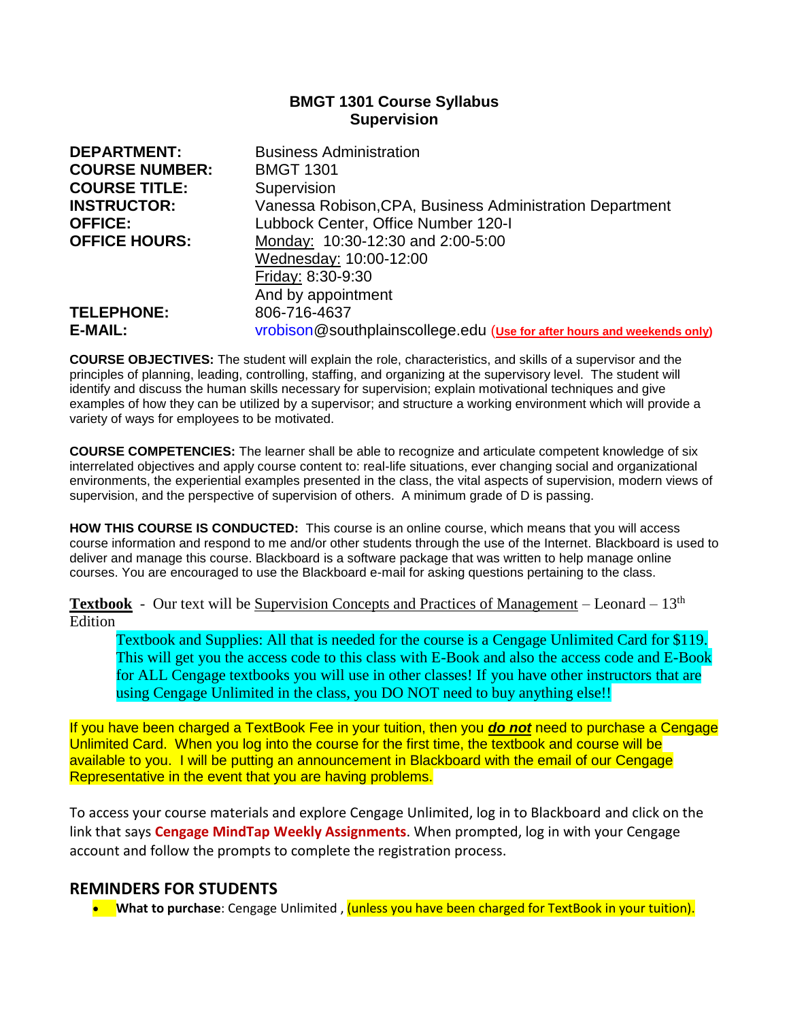## **BMGT 1301 Course Syllabus Supervision**

| <b>DEPARTMENT:</b>    | <b>Business Administration</b>                                          |
|-----------------------|-------------------------------------------------------------------------|
| <b>COURSE NUMBER:</b> | <b>BMGT 1301</b>                                                        |
| <b>COURSE TITLE:</b>  | Supervision                                                             |
| <b>INSTRUCTOR:</b>    | Vanessa Robison, CPA, Business Administration Department                |
| <b>OFFICE:</b>        | Lubbock Center, Office Number 120-I                                     |
| <b>OFFICE HOURS:</b>  | Monday: 10:30-12:30 and 2:00-5:00                                       |
|                       | Wednesday: 10:00-12:00                                                  |
|                       | Friday: 8:30-9:30                                                       |
|                       | And by appointment                                                      |
| <b>TELEPHONE:</b>     | 806-716-4637                                                            |
| E-MAIL:               | vrobison@southplainscollege.edu (Use for after hours and weekends only) |

**COURSE OBJECTIVES:** The student will explain the role, characteristics, and skills of a supervisor and the principles of planning, leading, controlling, staffing, and organizing at the supervisory level. The student will identify and discuss the human skills necessary for supervision; explain motivational techniques and give examples of how they can be utilized by a supervisor; and structure a working environment which will provide a variety of ways for employees to be motivated.

**COURSE COMPETENCIES:** The learner shall be able to recognize and articulate competent knowledge of six interrelated objectives and apply course content to: real-life situations, ever changing social and organizational environments, the experiential examples presented in the class, the vital aspects of supervision, modern views of supervision, and the perspective of supervision of others. A minimum grade of D is passing.

**HOW THIS COURSE IS CONDUCTED:** This course is an online course, which means that you will access course information and respond to me and/or other students through the use of the Internet. Blackboard is used to deliver and manage this course. Blackboard is a software package that was written to help manage online courses. You are encouraged to use the Blackboard e-mail for asking questions pertaining to the class.

**Textbook** - Our text will be Supervision Concepts and Practices of Management – Leonard – 13<sup>th</sup> Edition

Textbook and Supplies: All that is needed for the course is a Cengage Unlimited Card for \$119. This will get you the access code to this class with E-Book and also the access code and E-Book for ALL Cengage textbooks you will use in other classes! If you have other instructors that are using Cengage Unlimited in the class, you DO NOT need to buy anything else!!

If you have been charged a TextBook Fee in your tuition, then you *do not* need to purchase a Cengage Unlimited Card. When you log into the course for the first time, the textbook and course will be available to you. I will be putting an announcement in Blackboard with the email of our Cengage Representative in the event that you are having problems.

To access your course materials and explore Cengage Unlimited, log in to Blackboard and click on the link that says **Cengage MindTap Weekly Assignments**. When prompted, log in with your Cengage account and follow the prompts to complete the registration process.

# **REMINDERS FOR STUDENTS**

• **What to purchase**: Cengage Unlimited , (unless you have been charged for TextBook in your tuition).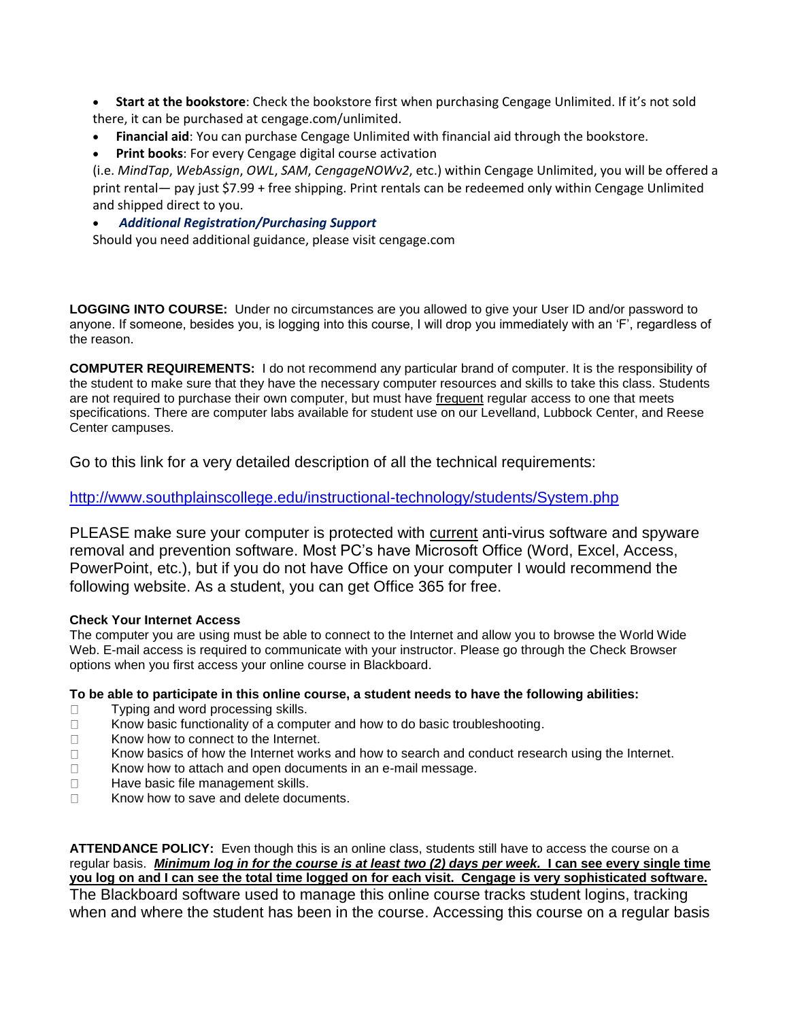- **Start at the bookstore**: Check the bookstore first when purchasing Cengage Unlimited. If it's not sold there, it can be purchased at [cengage.com/unlimited.](https://www.cengage.com/unlimited)
- **Financial aid**: You can purchase Cengage Unlimited with financial aid through the bookstore.
- **Print books:** For every Cengage digital course activation

(i.e. *MindTap*, *WebAssign*, *OWL*, *SAM*, *CengageNOWv2*, etc.) within Cengage Unlimited, you will be offered a print rental— pay just \$7.99 + free shipping. Print rentals can be redeemed only within Cengage Unlimited and shipped direct to you.

## • *Additional Registration/Purchasing Support*

Should you need additional guidance, please visit cengage.com

**LOGGING INTO COURSE:** Under no circumstances are you allowed to give your User ID and/or password to anyone. If someone, besides you, is logging into this course, I will drop you immediately with an 'F', regardless of the reason.

**COMPUTER REQUIREMENTS:** I do not recommend any particular brand of computer. It is the responsibility of the student to make sure that they have the necessary computer resources and skills to take this class. Students are not required to purchase their own computer, but must have frequent regular access to one that meets specifications. There are computer labs available for student use on our Levelland, Lubbock Center, and Reese Center campuses.

Go to this link for a very detailed description of all the technical requirements:

# <http://www.southplainscollege.edu/instructional-technology/students/System.php>

PLEASE make sure your computer is protected with current anti-virus software and spyware removal and prevention software. Most PC's have Microsoft Office (Word, Excel, Access, PowerPoint, etc.), but if you do not have Office on your computer I would recommend the following website. As a student, you can get Office 365 for free.

### **Check Your Internet Access**

The computer you are using must be able to connect to the Internet and allow you to browse the World Wide Web. E-mail access is required to communicate with your instructor. Please go through the Check Browser options when you first access your online course in Blackboard.

### **To be able to participate in this online course, a student needs to have the following abilities:**

- □ Typing and word processing skills.
- $\Box$  Know basic functionality of a computer and how to do basic troubleshooting.
- **Know how to connect to the Internet.**
- $\Box$  Know basics of how the Internet works and how to search and conduct research using the Internet.
- $\Box$  Know how to attach and open documents in an e-mail message.
- $\Box$  Have basic file management skills.
- □ Know how to save and delete documents.

**ATTENDANCE POLICY:** Even though this is an online class, students still have to access the course on a regular basis. *Minimum log in for the course is at least two (2) days per week.* **I can see every single time you log on and I can see the total time logged on for each visit. Cengage is very sophisticated software.**  The Blackboard software used to manage this online course tracks student logins, tracking

when and where the student has been in the course. Accessing this course on a regular basis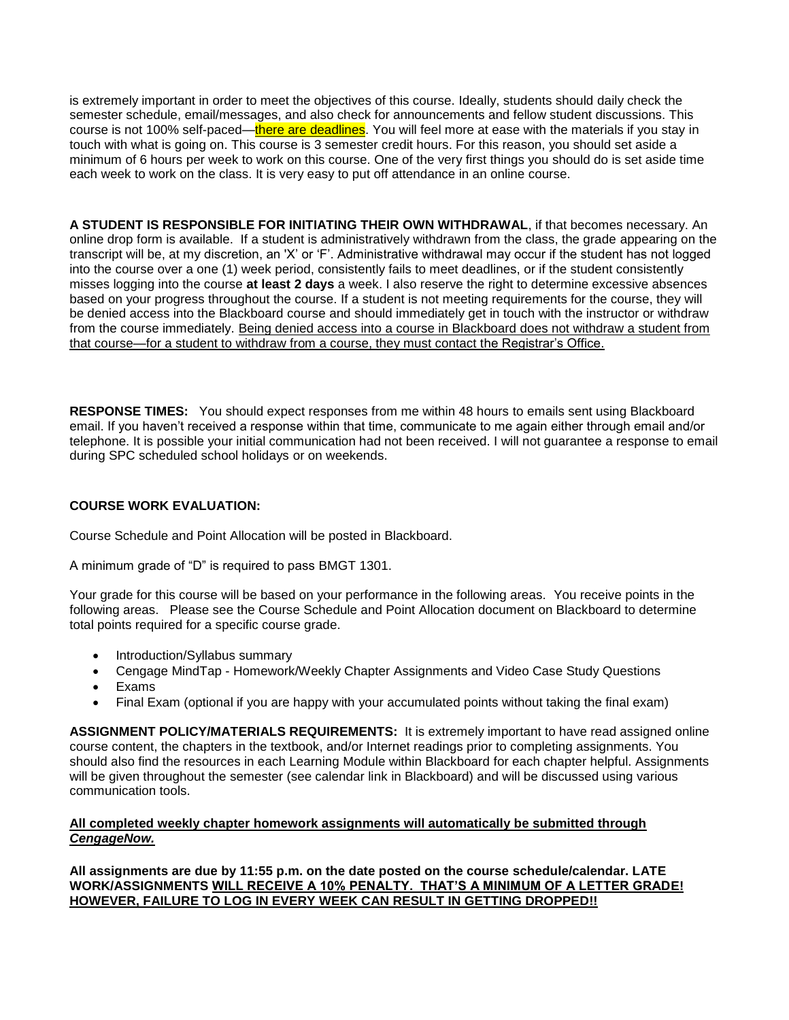is extremely important in order to meet the objectives of this course. Ideally, students should daily check the semester schedule, email/messages, and also check for announcements and fellow student discussions. This course is not 100% self-paced—there are deadlines. You will feel more at ease with the materials if you stay in touch with what is going on. This course is 3 semester credit hours. For this reason, you should set aside a minimum of 6 hours per week to work on this course. One of the very first things you should do is set aside time each week to work on the class. It is very easy to put off attendance in an online course.

**A STUDENT IS RESPONSIBLE FOR INITIATING THEIR OWN WITHDRAWAL**, if that becomes necessary. An online drop form is available. If a student is administratively withdrawn from the class, the grade appearing on the transcript will be, at my discretion, an 'X' or 'F'. Administrative withdrawal may occur if the student has not logged into the course over a one (1) week period, consistently fails to meet deadlines, or if the student consistently misses logging into the course **at least 2 days** a week. I also reserve the right to determine excessive absences based on your progress throughout the course. If a student is not meeting requirements for the course, they will be denied access into the Blackboard course and should immediately get in touch with the instructor or withdraw from the course immediately. Being denied access into a course in Blackboard does not withdraw a student from that course—for a student to withdraw from a course, they must contact the Registrar's Office.

**RESPONSE TIMES:** You should expect responses from me within 48 hours to emails sent using Blackboard email. If you haven't received a response within that time, communicate to me again either through email and/or telephone. It is possible your initial communication had not been received. I will not guarantee a response to email during SPC scheduled school holidays or on weekends.

#### **COURSE WORK EVALUATION:**

Course Schedule and Point Allocation will be posted in Blackboard.

A minimum grade of "D" is required to pass BMGT 1301.

Your grade for this course will be based on your performance in the following areas. You receive points in the following areas. Please see the Course Schedule and Point Allocation document on Blackboard to determine total points required for a specific course grade.

- Introduction/Syllabus summary
- Cengage MindTap Homework/Weekly Chapter Assignments and Video Case Study Questions
- **Exams**
- Final Exam (optional if you are happy with your accumulated points without taking the final exam)

**ASSIGNMENT POLICY/MATERIALS REQUIREMENTS:** It is extremely important to have read assigned online course content, the chapters in the textbook, and/or Internet readings prior to completing assignments. You should also find the resources in each Learning Module within Blackboard for each chapter helpful. Assignments will be given throughout the semester (see calendar link in Blackboard) and will be discussed using various communication tools.

#### **All completed weekly chapter homework assignments will automatically be submitted through**  *CengageNow.*

**All assignments are due by 11:55 p.m. on the date posted on the course schedule/calendar. LATE WORK/ASSIGNMENTS WILL RECEIVE A 10% PENALTY. THAT'S A MINIMUM OF A LETTER GRADE! HOWEVER, FAILURE TO LOG IN EVERY WEEK CAN RESULT IN GETTING DROPPED!!**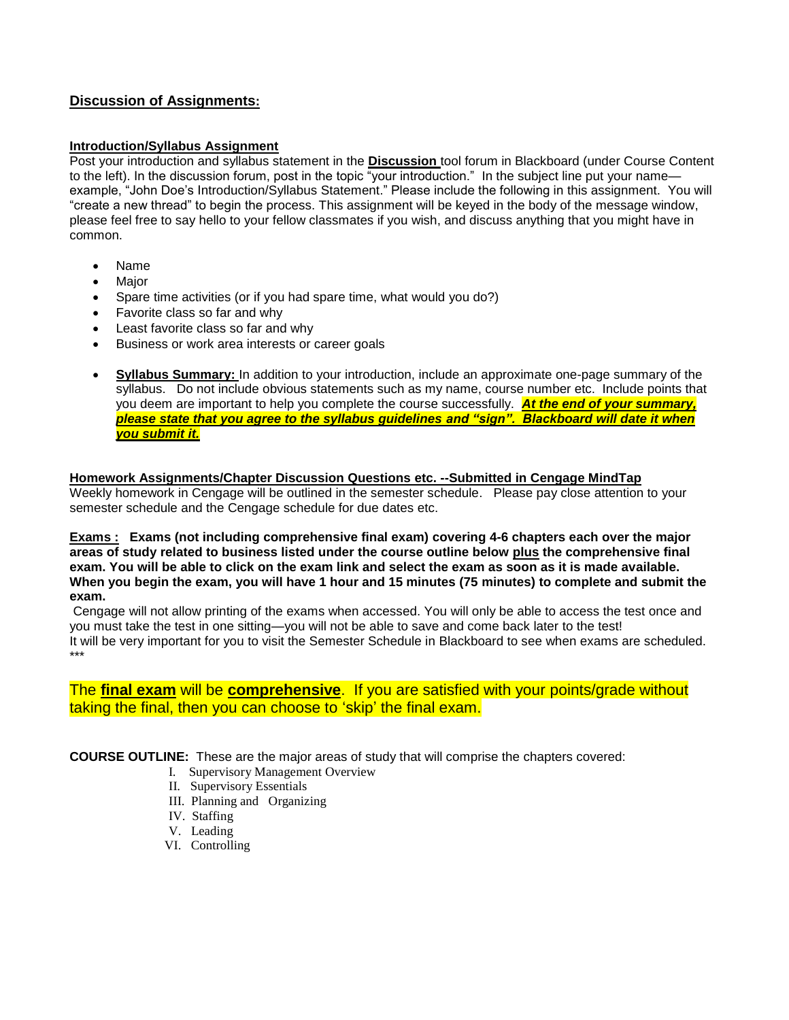## **Discussion of Assignments:**

#### **Introduction/Syllabus Assignment**

Post your introduction and syllabus statement in the **Discussion** tool forum in Blackboard (under Course Content to the left). In the discussion forum, post in the topic "your introduction." In the subject line put your name example, "John Doe's Introduction/Syllabus Statement." Please include the following in this assignment. You will "create a new thread" to begin the process. This assignment will be keyed in the body of the message window, please feel free to say hello to your fellow classmates if you wish, and discuss anything that you might have in common.

- Name
- **Major**
- Spare time activities (or if you had spare time, what would you do?)
- Favorite class so far and why
- Least favorite class so far and why
- Business or work area interests or career goals
- **Syllabus Summary:** In addition to your introduction, include an approximate one-page summary of the syllabus. Do not include obvious statements such as my name, course number etc. Include points that you deem are important to help you complete the course successfully. *At the end of your summary, please state that you agree to the syllabus guidelines and "sign". Blackboard will date it when you submit it.*

#### **Homework Assignments/Chapter Discussion Questions etc. --Submitted in Cengage MindTap** Weekly homework in Cengage will be outlined in the semester schedule. Please pay close attention to your semester schedule and the Cengage schedule for due dates etc.

**Exams : Exams (not including comprehensive final exam) covering 4-6 chapters each over the major areas of study related to business listed under the course outline below plus the comprehensive final exam. You will be able to click on the exam link and select the exam as soon as it is made available. When you begin the exam, you will have 1 hour and 15 minutes (75 minutes) to complete and submit the exam.**

Cengage will not allow printing of the exams when accessed. You will only be able to access the test once and you must take the test in one sitting—you will not be able to save and come back later to the test! It will be very important for you to visit the Semester Schedule in Blackboard to see when exams are scheduled. \*\*\*

## The **final exam** will be **comprehensive**. If you are satisfied with your points/grade without taking the final, then you can choose to 'skip' the final exam.

**COURSE OUTLINE:** These are the major areas of study that will comprise the chapters covered:

- I. Supervisory Management Overview
- II. Supervisory Essentials
- III. Planning and Organizing
- IV. Staffing
- V. Leading
- VI. Controlling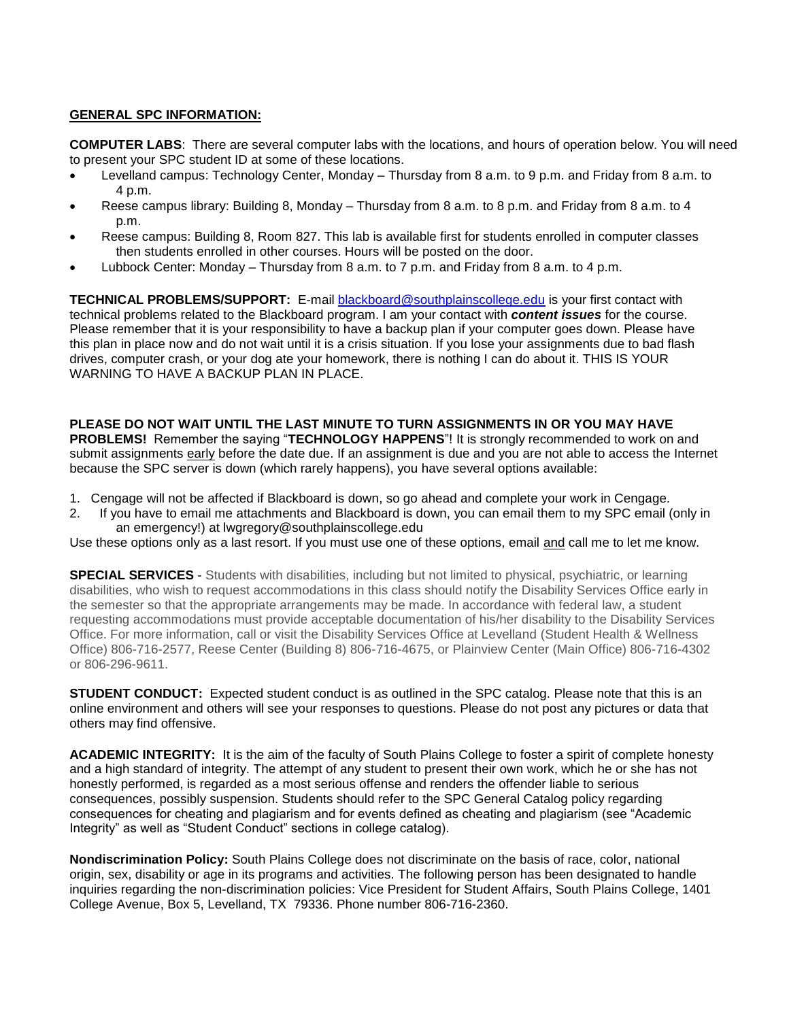#### **GENERAL SPC INFORMATION:**

**COMPUTER LABS**: There are several computer labs with the locations, and hours of operation below. You will need to present your SPC student ID at some of these locations.

- Levelland campus: Technology Center, Monday Thursday from 8 a.m. to 9 p.m. and Friday from 8 a.m. to 4 p.m.
- Reese campus library: Building 8, Monday Thursday from 8 a.m. to 8 p.m. and Friday from 8 a.m. to 4 p.m.
- Reese campus: Building 8, Room 827. This lab is available first for students enrolled in computer classes then students enrolled in other courses. Hours will be posted on the door.
- Lubbock Center: Monday Thursday from 8 a.m. to 7 p.m. and Friday from 8 a.m. to 4 p.m.

**TECHNICAL PROBLEMS/SUPPORT:** E-mail [blackboard@southplainscollege.edu](mailto:blackboard@southplainscollege.edu) is your first contact with technical problems related to the Blackboard program. I am your contact with *content issues* for the course. Please remember that it is your responsibility to have a backup plan if your computer goes down. Please have this plan in place now and do not wait until it is a crisis situation. If you lose your assignments due to bad flash drives, computer crash, or your dog ate your homework, there is nothing I can do about it. THIS IS YOUR WARNING TO HAVE A BACKUP PLAN IN PLACE.

**PLEASE DO NOT WAIT UNTIL THE LAST MINUTE TO TURN ASSIGNMENTS IN OR YOU MAY HAVE PROBLEMS!** Remember the saying "**TECHNOLOGY HAPPENS**"! It is strongly recommended to work on and submit assignments early before the date due. If an assignment is due and you are not able to access the Internet because the SPC server is down (which rarely happens), you have several options available:

- 1. Cengage will not be affected if Blackboard is down, so go ahead and complete your work in Cengage.
- 2. If you have to email me attachments and Blackboard is down, you can email them to my SPC email (only in an emergency!) at lwgregory@southplainscollege.edu

Use these options only as a last resort. If you must use one of these options, email and call me to let me know.

**SPECIAL SERVICES** - Students with disabilities, including but not limited to physical, psychiatric, or learning disabilities, who wish to request accommodations in this class should notify the Disability Services Office early in the semester so that the appropriate arrangements may be made. In accordance with federal law, a student requesting accommodations must provide acceptable documentation of his/her disability to the Disability Services Office. For more information, call or visit the Disability Services Office at Levelland (Student Health & Wellness Office) 806-716-2577, Reese Center (Building 8) 806-716-4675, or Plainview Center (Main Office) 806-716-4302 or 806-296-9611.

**STUDENT CONDUCT:** Expected student conduct is as outlined in the SPC catalog. Please note that this is an online environment and others will see your responses to questions. Please do not post any pictures or data that others may find offensive.

**ACADEMIC INTEGRITY:** It is the aim of the faculty of South Plains College to foster a spirit of complete honesty and a high standard of integrity. The attempt of any student to present their own work, which he or she has not honestly performed, is regarded as a most serious offense and renders the offender liable to serious consequences, possibly suspension. Students should refer to the SPC General Catalog policy regarding consequences for cheating and plagiarism and for events defined as cheating and plagiarism (see "Academic Integrity" as well as "Student Conduct" sections in college catalog).

**Nondiscrimination Policy:** South Plains College does not discriminate on the basis of race, color, national origin, sex, disability or age in its programs and activities. The following person has been designated to handle inquiries regarding the non-discrimination policies: Vice President for Student Affairs, South Plains College, 1401 College Avenue, Box 5, Levelland, TX 79336. Phone number 806-716-2360.